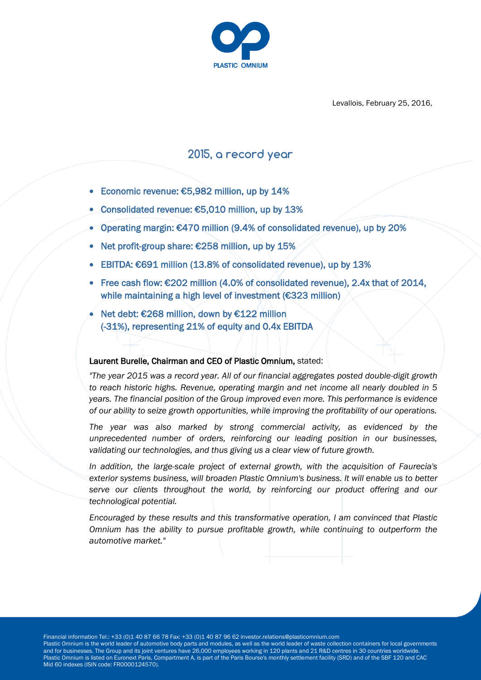

Levallois, February 25, 2016,

# **2015, a record year**

- Economic revenue:  $£5,982$  million, up by  $14\%$
- Consolidated revenue: €5,010 million, up by 13%
- Operating margin: €470 million (9.4% of consolidated revenue), up by 20%
- Net profit-group share:  $€258$  million, up by 15%
- EBITDA: €691 million (13.8% of consolidated revenue), up by 13%
- Free cash flow: €202 million (4.0% of consolidated revenue), 2.4x that of 2014, while maintaining a high level of investment (€323 million)
- Net debt: €268 million, down by €122 million (-31%), representing 21% of equity and 0.4x EBITDA

### Laurent Burelle, Chairman and CEO of Plastic Omnium, stated:

*"The year 2015 was a record year. All of our financial aggregates posted double-digit growth to reach historic highs. Revenue, operating margin and net income all nearly doubled in 5 years. The financial position of the Group improved even more. This performance is evidence of our ability to seize growth opportunities, while improving the profitability of our operations.* 

*The year was also marked by strong commercial activity, as evidenced by the unprecedented number of orders, reinforcing our leading position in our businesses, validating our technologies, and thus giving us a clear view of future growth.*

*In addition, the large-scale project of external growth, with the acquisition of Faurecia's exterior systems business, will broaden Plastic Omnium's business. It will enable us to better serve our clients throughout the world, by reinforcing our product offering and our technological potential.*

*Encouraged by these results and this transformative operation, I am convinced that Plastic Omnium has the ability to pursue profitable growth, while continuing to outperform the automotive market."*

Financial information Tel.: +33 (0)1 40 87 66 78 Fax: +33 (0)1 40 87 96 62 investor.relations@plasticomnium.com

Plastic Omnium is the world leader of automotive body parts and modules, as well as the world leader of waste collection containers for local governments and for businesses. The Group and its joint ventures have 26,000 employees working in 120 plants and 21 R&D centres in 30 countries worldwide. Plastic Omnium is listed on Euronext Paris, Compartment A, is part of the Paris Bourse's monthly settlement facility (SRD) and of the SBF 120 and CAC Mid 60 indexes (ISIN code: FR0000124570).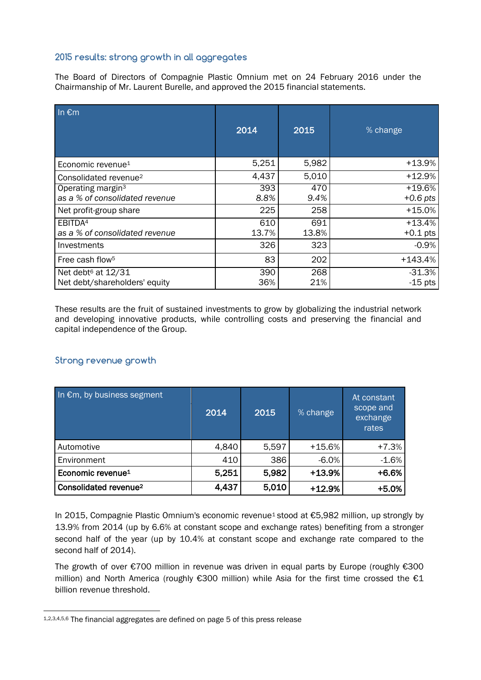# **2015 results: strong growth in all aggregates**

The Board of Directors of Compagnie Plastic Omnium met on 24 February 2016 under the Chairmanship of Mr. Laurent Burelle, and approved the 2015 financial statements.

| In $\epsilon$ m                   | 2014  | 2015  | % change   |
|-----------------------------------|-------|-------|------------|
|                                   |       |       |            |
| Economic revenue <sup>1</sup>     | 5,251 | 5,982 | $+13.9%$   |
| Consolidated revenue <sup>2</sup> | 4,437 | 5,010 | $+12.9%$   |
| Operating margin <sup>3</sup>     | 393   | 470   | $+19.6%$   |
| as a % of consolidated revenue    | 8.8%  | 9.4%  | $+0.6$ pts |
| Net profit-group share            | 225   | 258   | $+15.0%$   |
| EBITDA <sup>4</sup>               | 610   | 691   | $+13.4%$   |
| as a % of consolidated revenue    | 13.7% | 13.8% | $+0.1$ pts |
| Investments                       | 326   | 323   | $-0.9%$    |
| Free cash flow <sup>5</sup>       | 83    | 202   | $+143.4%$  |
| Net debt <sup>6</sup> at 12/31    | 390   | 268   | $-31.3%$   |
| Net debt/shareholders' equity     | 36%   | 21%   | $-15$ pts  |

These results are the fruit of sustained investments to grow by globalizing the industrial network and developing innovative products, while controlling costs and preserving the financial and capital independence of the Group.

# **Strong revenue growth**

 $\overline{a}$ 

| In $\overline{\epsilon}$ m, by business segment | 2014  | 2015  | % change | At constant<br>scope and<br>exchange<br>rates |
|-------------------------------------------------|-------|-------|----------|-----------------------------------------------|
| Automotive                                      | 4,840 | 5,597 | $+15.6%$ | $+7.3%$                                       |
| Environment                                     | 410   | 386   | $-6.0%$  | $-1.6%$                                       |
| Economic revenue <sup>1</sup>                   | 5,251 | 5,982 | $+13.9%$ | $+6.6%$                                       |
| Consolidated revenue <sup>2</sup>               | 4,437 | 5,010 | $+12.9%$ | $+5.0%$                                       |

In 2015, Compagnie Plastic Omnium's economic revenue<sup>1</sup> stood at €5,982 million, up strongly by 13.9% from 2014 (up by 6.6% at constant scope and exchange rates) benefiting from a stronger second half of the year (up by 10.4% at constant scope and exchange rate compared to the second half of 2014).

The growth of over €700 million in revenue was driven in equal parts by Europe (roughly €300 million) and North America (roughly €300 million) while Asia for the first time crossed the €1 billion revenue threshold.

<sup>1,2,3,4,5,6</sup> The financial aggregates are defined on page 5 of this press release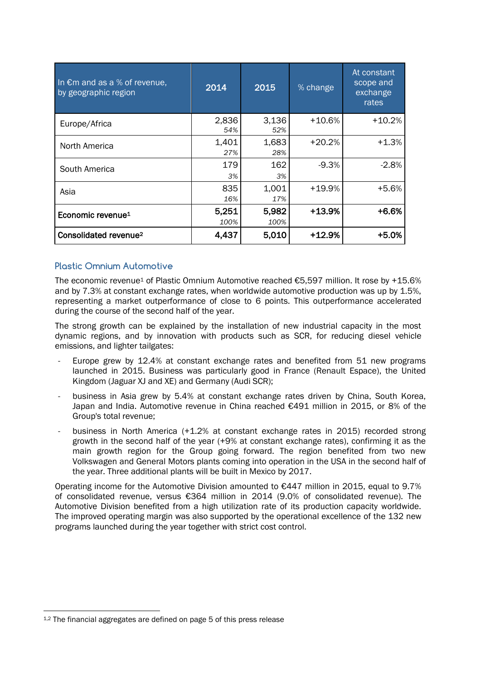| In $\epsilon$ m and as a % of revenue,<br>by geographic region | 2014          | 2015          | % change | At constant<br>scope and<br>exchange<br>rates |
|----------------------------------------------------------------|---------------|---------------|----------|-----------------------------------------------|
| Europe/Africa                                                  | 2,836<br>54%  | 3,136<br>52%  | $+10.6%$ | $+10.2%$                                      |
| North America                                                  | 1,401<br>27%  | 1,683<br>28%  | +20.2%   | $+1.3%$                                       |
| South America                                                  | 179<br>3%     | 162<br>3%     | $-9.3%$  | $-2.8%$                                       |
| Asia                                                           | 835<br>16%    | 1,001<br>17%  | $+19.9%$ | $+5.6%$                                       |
| Economic revenue <sup>1</sup>                                  | 5,251<br>100% | 5,982<br>100% | $+13.9%$ | $+6.6%$                                       |
| Consolidated revenue <sup>2</sup>                              | 4,437         | 5,010         | $+12.9%$ | $+5.0%$                                       |

# **Plastic Omnium Automotive**

The economic revenue<sup>1</sup> of Plastic Omnium Automotive reached  $\epsilon$ 5.597 million. It rose by +15.6% and by 7.3% at constant exchange rates, when worldwide automotive production was up by 1.5%, representing a market outperformance of close to 6 points. This outperformance accelerated during the course of the second half of the year.

The strong growth can be explained by the installation of new industrial capacity in the most dynamic regions, and by innovation with products such as SCR, for reducing diesel vehicle emissions, and lighter tailgates:

- Europe grew by 12.4% at constant exchange rates and benefited from 51 new programs launched in 2015. Business was particularly good in France (Renault Espace), the United Kingdom (Jaguar XJ and XE) and Germany (Audi SCR);
- business in Asia grew by 5.4% at constant exchange rates driven by China, South Korea, Japan and India. Automotive revenue in China reached €491 million in 2015, or 8% of the Group's total revenue;
- business in North America (+1.2% at constant exchange rates in 2015) recorded strong growth in the second half of the year (+9% at constant exchange rates), confirming it as the main growth region for the Group going forward. The region benefited from two new Volkswagen and General Motors plants coming into operation in the USA in the second half of the year. Three additional plants will be built in Mexico by 2017.

Operating income for the Automotive Division amounted to €447 million in 2015, equal to 9.7% of consolidated revenue, versus €364 million in 2014 (9.0% of consolidated revenue). The Automotive Division benefited from a high utilization rate of its production capacity worldwide. The improved operating margin was also supported by the operational excellence of the 132 new programs launched during the year together with strict cost control.

 $\overline{a}$ 

<sup>&</sup>lt;sup>1,2</sup> The financial aggregates are defined on page 5 of this press release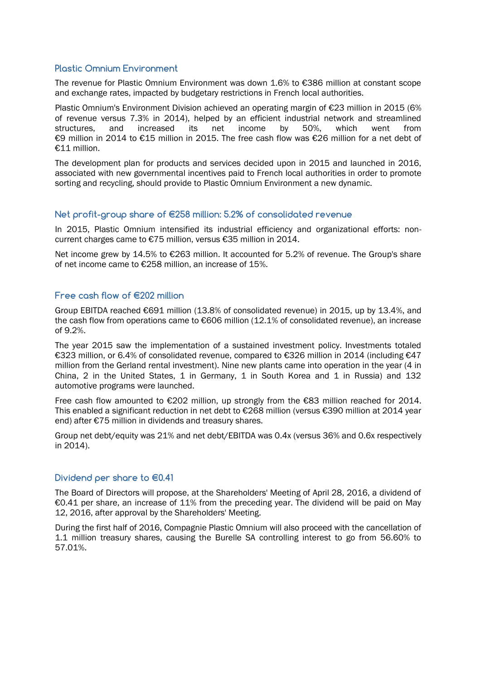### **Plastic Omnium Environment**

The revenue for Plastic Omnium Environment was down 1.6% to €386 million at constant scope and exchange rates, impacted by budgetary restrictions in French local authorities.

Plastic Omnium's Environment Division achieved an operating margin of €23 million in 2015 (6% of revenue versus 7.3% in 2014), helped by an efficient industrial network and streamlined structures, and increased its net income by 50%, which went from €9 million in 2014 to €15 million in 2015. The free cash flow was €26 million for a net debt of €11 million.

The development plan for products and services decided upon in 2015 and launched in 2016, associated with new governmental incentives paid to French local authorities in order to promote sorting and recycling, should provide to Plastic Omnium Environment a new dynamic.

### **Net profit-group share of €258 million: 5.2% of consolidated revenue**

In 2015, Plastic Omnium intensified its industrial efficiency and organizational efforts: noncurrent charges came to €75 million, versus €35 million in 2014.

Net income grew by 14.5% to €263 million. It accounted for 5.2% of revenue. The Group's share of net income came to €258 million, an increase of 15%.

### **Free cash flow of €202 million**

Group EBITDA reached €691 million (13.8% of consolidated revenue) in 2015, up by 13.4%, and the cash flow from operations came to €606 million (12.1% of consolidated revenue), an increase of 9.2%.

The year 2015 saw the implementation of a sustained investment policy. Investments totaled €323 million, or 6.4% of consolidated revenue, compared to €326 million in 2014 (including €47 million from the Gerland rental investment). Nine new plants came into operation in the year (4 in China, 2 in the United States, 1 in Germany, 1 in South Korea and 1 in Russia) and 132 automotive programs were launched.

Free cash flow amounted to  $\epsilon$ 202 million, up strongly from the  $\epsilon$ 83 million reached for 2014. This enabled a significant reduction in net debt to €268 million (versus €390 million at 2014 year end) after €75 million in dividends and treasury shares.

Group net debt/equity was 21% and net debt/EBITDA was 0.4x (versus 36% and 0.6x respectively in 2014).

### **Dividend per share to €0.41**

The Board of Directors will propose, at the Shareholders' Meeting of April 28, 2016, a dividend of €0.41 per share, an increase of 11% from the preceding year. The dividend will be paid on May 12, 2016, after approval by the Shareholders' Meeting.

During the first half of 2016, Compagnie Plastic Omnium will also proceed with the cancellation of 1.1 million treasury shares, causing the Burelle SA controlling interest to go from 56.60% to 57.01%.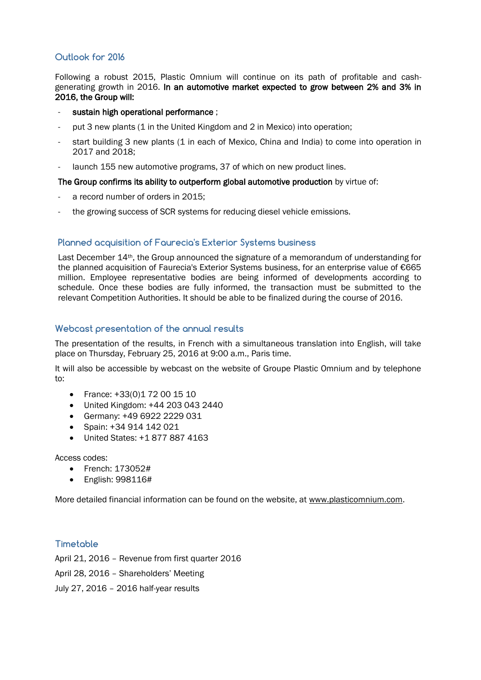# **Outlook for 2016**

Following a robust 2015, Plastic Omnium will continue on its path of profitable and cashgenerating growth in 2016. In an automotive market expected to grow between 2% and 3% in 2016, the Group will:

### sustain high operational performance ;

- put 3 new plants (1 in the United Kingdom and 2 in Mexico) into operation:
- start building 3 new plants (1 in each of Mexico, China and India) to come into operation in 2017 and 2018;
- launch 155 new automotive programs, 37 of which on new product lines.

### The Group confirms its ability to outperform global automotive production by virtue of:

- a record number of orders in 2015;
- the growing success of SCR systems for reducing diesel vehicle emissions.

# **Planned acquisition of Faurecia's Exterior Systems business**

Last December 14<sup>th</sup>, the Group announced the signature of a memorandum of understanding for the planned acquisition of Faurecia's Exterior Systems business, for an enterprise value of €665 million. Employee representative bodies are being informed of developments according to schedule. Once these bodies are fully informed, the transaction must be submitted to the relevant Competition Authorities. It should be able to be finalized during the course of 2016.

# **Webcast presentation of the annual results**

The presentation of the results, in French with a simultaneous translation into English, will take place on Thursday, February 25, 2016 at 9:00 a.m., Paris time.

It will also be accessible by webcast on the website of Groupe Plastic Omnium and by telephone to:

- France: +33(0)1 72 00 15 10
- United Kingdom: +44 203 043 2440
- Germany: +49 6922 2229 031
- Spain: +34 914 142 021
- United States: +1 877 887 4163

Access codes:

- French: 173052#
- English: 998116#

More detailed financial information can be found on the website, at www.plasticomnium.com.

# **Timetable**

April 21, 2016 – Revenue from first quarter 2016

April 28, 2016 – Shareholders' Meeting

July 27, 2016 – 2016 half-year results